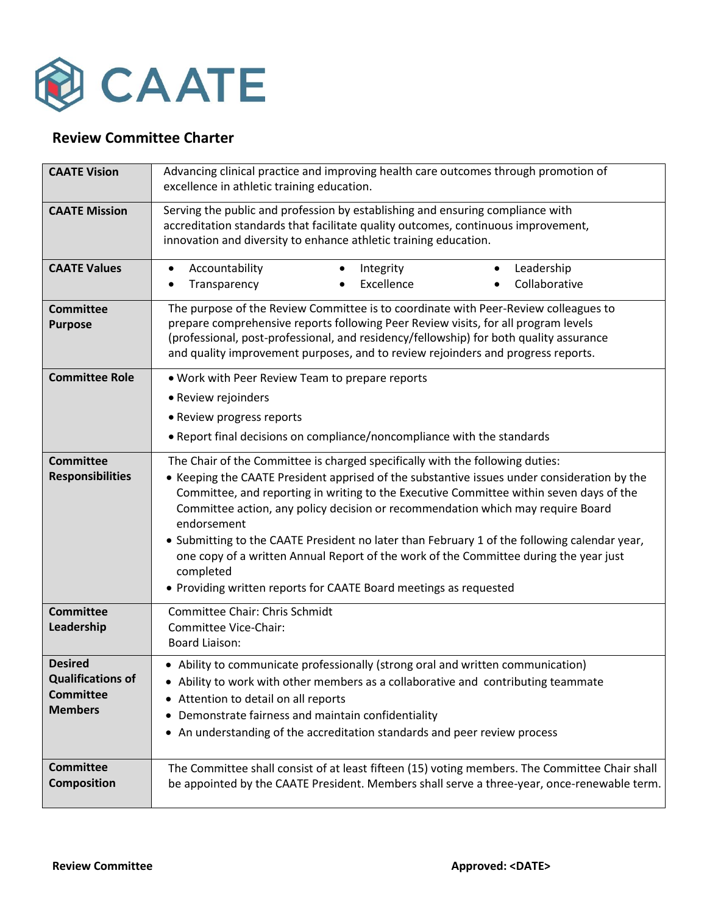

## **Review Committee Charter**

| <b>CAATE Vision</b>                                                              | Advancing clinical practice and improving health care outcomes through promotion of<br>excellence in athletic training education.                                                                                                                                                                                                                                                                                                                                                                                                                                                                                                                    |
|----------------------------------------------------------------------------------|------------------------------------------------------------------------------------------------------------------------------------------------------------------------------------------------------------------------------------------------------------------------------------------------------------------------------------------------------------------------------------------------------------------------------------------------------------------------------------------------------------------------------------------------------------------------------------------------------------------------------------------------------|
| <b>CAATE Mission</b>                                                             | Serving the public and profession by establishing and ensuring compliance with<br>accreditation standards that facilitate quality outcomes, continuous improvement,<br>innovation and diversity to enhance athletic training education.                                                                                                                                                                                                                                                                                                                                                                                                              |
| <b>CAATE Values</b>                                                              | Accountability<br>Leadership<br>Integrity<br>$\bullet$<br>$\bullet$<br>$\bullet$<br>Excellence<br>Collaborative<br>Transparency                                                                                                                                                                                                                                                                                                                                                                                                                                                                                                                      |
| <b>Committee</b><br><b>Purpose</b>                                               | The purpose of the Review Committee is to coordinate with Peer-Review colleagues to<br>prepare comprehensive reports following Peer Review visits, for all program levels<br>(professional, post-professional, and residency/fellowship) for both quality assurance<br>and quality improvement purposes, and to review rejoinders and progress reports.                                                                                                                                                                                                                                                                                              |
| <b>Committee Role</b>                                                            | . Work with Peer Review Team to prepare reports<br>• Review rejoinders<br>• Review progress reports<br>• Report final decisions on compliance/noncompliance with the standards                                                                                                                                                                                                                                                                                                                                                                                                                                                                       |
| <b>Committee</b><br><b>Responsibilities</b>                                      | The Chair of the Committee is charged specifically with the following duties:<br>• Keeping the CAATE President apprised of the substantive issues under consideration by the<br>Committee, and reporting in writing to the Executive Committee within seven days of the<br>Committee action, any policy decision or recommendation which may require Board<br>endorsement<br>. Submitting to the CAATE President no later than February 1 of the following calendar year,<br>one copy of a written Annual Report of the work of the Committee during the year just<br>completed<br>• Providing written reports for CAATE Board meetings as requested |
| <b>Committee</b><br>Leadership                                                   | Committee Chair: Chris Schmidt<br>Committee Vice-Chair:<br><b>Board Liaison:</b>                                                                                                                                                                                                                                                                                                                                                                                                                                                                                                                                                                     |
| <b>Desired</b><br><b>Qualifications of</b><br><b>Committee</b><br><b>Members</b> | • Ability to communicate professionally (strong oral and written communication)<br>• Ability to work with other members as a collaborative and contributing teammate<br>Attention to detail on all reports<br>$\bullet$<br>Demonstrate fairness and maintain confidentiality<br>An understanding of the accreditation standards and peer review process<br>$\bullet$                                                                                                                                                                                                                                                                                 |
| <b>Committee</b><br><b>Composition</b>                                           | The Committee shall consist of at least fifteen (15) voting members. The Committee Chair shall<br>be appointed by the CAATE President. Members shall serve a three-year, once-renewable term.                                                                                                                                                                                                                                                                                                                                                                                                                                                        |